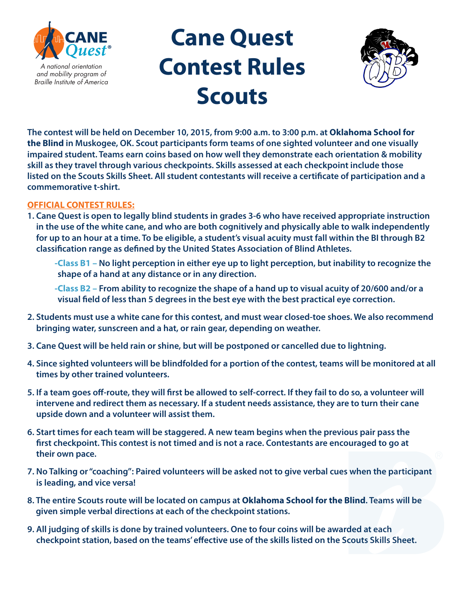

# **Cane Quest Contest Rules Scouts**



**The contest will be held on December 10, 2015, from 9:00 a.m. to 3:00 p.m. at Oklahoma School for the Blind in Muskogee, OK. Scout participants form teams of one sighted volunteer and one visually impaired student. Teams earn coins based on how well they demonstrate each orientation & mobility skill as they travel through various checkpoints. Skills assessed at each checkpoint include those listed on the Scouts Skills Sheet. All student contestants will receive a certifcate of participation and a commemorative t-shirt.**

# **OFFICIAL CONTEST RULES:**

**1. Cane Quest is open to legally blind students in grades 3-6 who have received appropriate instruction in the use of the white cane, and who are both cognitively and physically able to walk independently for up to an hour at a time. To be eligible, a student's visual acuity must fall within the BI through B2 classifcation range as defned by the United States Association of Blind Athletes.**

**-Class B1 – No light perception in either eye up to light perception, but inability to recognize the shape of a hand at any distance or in any direction.**

**-Class B2 – From ability to recognize the shape of a hand up to visual acuity of 20/600 and/or a visual feld of less than 5 degrees in the best eye with the best practical eye correction.** 

- **2. Students must use a white cane for this contest, and must wear closed-toe shoes. We also recommend bringing water, sunscreen and a hat, or rain gear, depending on weather.**
- **3. Cane Quest will be held rain or shine, but will be postponed or cancelled due to lightning.**
- **4. Since sighted volunteers will be blindfolded for a portion of the contest, teams will be monitored at all times by other trained volunteers.**
- **5. If a team goes of-route, they will frst be allowed to self-correct. If they fail to do so, a volunteer will intervene and redirect them as necessary. If a student needs assistance, they are to turn their cane upside down and a volunteer will assist them.**
- **6. Start times for each team will be staggered. A new team begins when the previous pair pass the frst checkpoint. This contest is not timed and is not a race. Contestants are encouraged to go at their own pace.**
- **7. No Talking or "coaching": Paired volunteers will be asked not to give verbal cues when the participant is leading, and vice versa!**
- **8. The entire Scouts route will be located on campus at Oklahoma School for the Blind. Teams will be given simple verbal directions at each of the checkpoint stations.**
- **9. All judging of skills is done by trained volunteers. One to four coins will be awarded at each checkpoint station, based on the teams' efective use of the skills listed on the Scouts Skills Sheet.**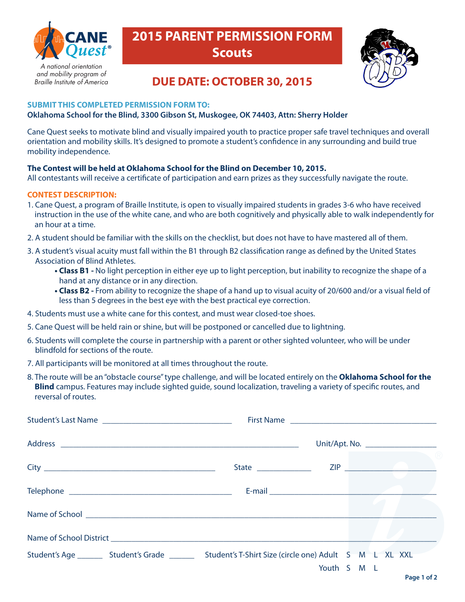

Braille Institute of America

# **2015 PARENT PERMISSION FORM Scouts**



# **DUE DATE: OCTOBER 30, 2015**

## **SUBMIT THIS COMPLETED PERMISSION FORM TO:**

## **Oklahoma School for the Blind, 3300 Gibson St, Muskogee, OK 74403, Attn: Sherry Holder**

Cane Quest seeks to motivate blind and visually impaired youth to practice proper safe travel techniques and overall orientation and mobility skills. It's designed to promote a student's confdence in any surrounding and build true mobility independence.

## **The Contest will be held at Oklahoma School for the Blind on December 10, 2015.**

All contestants will receive a certifcate of participation and earn prizes as they successfully navigate the route.

#### **CONTEST DESCRIPTION:**

- 1. Cane Quest, a program of Braille Institute, is open to visually impaired students in grades 3-6 who have received instruction in the use of the white cane, and who are both cognitively and physically able to walk independently for an hour at a time.
- 2. A student should be familiar with the skills on the checklist, but does not have to have mastered all of them.
- 3. A student's visual acuity must fall within the B1 through B2 classifcation range as defned by the United States Association of Blind Athletes.
	- **Class B1** No light perception in either eye up to light perception, but inability to recognize the shape of a hand at any distance or in any direction.
	- **Class B2** From ability to recognize the shape of a hand up to visual acuity of 20/600 and/or a visual field of less than 5 degrees in the best eye with the best practical eye correction.
- 4. Students must use a white cane for this contest, and must wear closed-toe shoes.
- 5. Cane Quest will be held rain or shine, but will be postponed or cancelled due to lightning.
- 6. Students will complete the course in partnership with a parent or other sighted volunteer, who will be under blindfold for sections of the route.
- 7. All participants will be monitored at all times throughout the route.
- 8. The route will be an "obstacle course" type challenge, and will be located entirely on the **Oklahoma School for the Blind** campus. Features may include sighted guide, sound localization, traveling a variety of specifc routes, and reversal of routes.

| First Name                                                                                                                      |                                  |  |  |  |  |
|---------------------------------------------------------------------------------------------------------------------------------|----------------------------------|--|--|--|--|
|                                                                                                                                 | Unit/Apt. No. __________________ |  |  |  |  |
|                                                                                                                                 |                                  |  |  |  |  |
|                                                                                                                                 |                                  |  |  |  |  |
|                                                                                                                                 |                                  |  |  |  |  |
|                                                                                                                                 |                                  |  |  |  |  |
| Student's Age ___________ Student's Grade _______________ Student's T-Shirt Size (circle one) Adult S M L XL XXL<br>Youth S M L |                                  |  |  |  |  |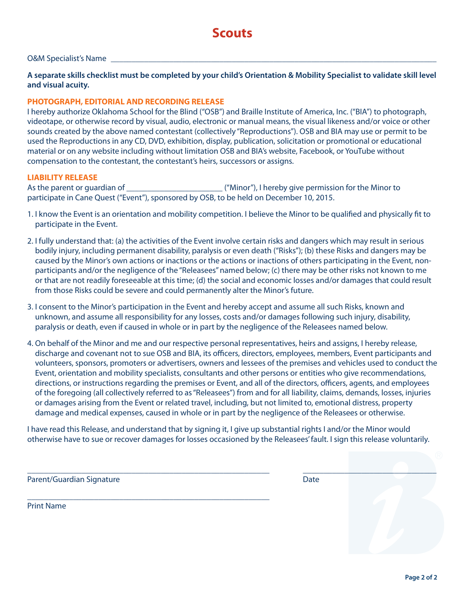#### O&M Specialist's Name

**A separate skills checklist must be completed by your child's Orientation & Mobility Specialist to validate skill level and visual acuity.**

#### **PHOTOGRAPH, EDITORIAL AND RECORDING RELEASE**

I hereby authorize Oklahoma School for the Blind ("OSB") and Braille Institute of America, Inc. ("BIA") to photograph, videotape, or otherwise record by visual, audio, electronic or manual means, the visual likeness and/or voice or other sounds created by the above named contestant (collectively "Reproductions"). OSB and BIA may use or permit to be used the Reproductions in any CD, DVD, exhibition, display, publication, solicitation or promotional or educational material or on any website including without limitation OSB and BIA's website, Facebook, or YouTube without compensation to the contestant, the contestant's heirs, successors or assigns.

#### **LIABILITY RELEASE**

As the parent or guardian of  $\blacksquare$  ("Minor"), I hereby give permission for the Minor to participate in Cane Quest ("Event"), sponsored by OSB, to be held on December 10, 2015.

- 1. I know the Event is an orientation and mobility competition. I believe the Minor to be qualifed and physically ft to participate in the Event.
- 2. I fully understand that: (a) the activities of the Event involve certain risks and dangers which may result in serious bodily injury, including permanent disability, paralysis or even death ("Risks"); (b) these Risks and dangers may be caused by the Minor's own actions or inactions or the actions or inactions of others participating in the Event, nonparticipants and/or the negligence of the "Releasees" named below; (c) there may be other risks not known to me or that are not readily foreseeable at this time; (d) the social and economic losses and/or damages that could result from those Risks could be severe and could permanently alter the Minor's future.
- 3. I consent to the Minor's participation in the Event and hereby accept and assume all such Risks, known and unknown, and assume all responsibility for any losses, costs and/or damages following such injury, disability, paralysis or death, even if caused in whole or in part by the negligence of the Releasees named below.
- 4. On behalf of the Minor and me and our respective personal representatives, heirs and assigns, I hereby release, discharge and covenant not to sue OSB and BIA, its officers, directors, employees, members, Event participants and volunteers, sponsors, promoters or advertisers, owners and lessees of the premises and vehicles used to conduct the Event, orientation and mobility specialists, consultants and other persons or entities who give recommendations, directions, or instructions regarding the premises or Event, and all of the directors, officers, agents, and employees of the foregoing (all collectively referred to as "Releasees") from and for all liability, claims, demands, losses, injuries or damages arising from the Event or related travel, including, but not limited to, emotional distress, property damage and medical expenses, caused in whole or in part by the negligence of the Releasees or otherwise.

I have read this Release, and understand that by signing it, I give up substantial rights I and/or the Minor would otherwise have to sue or recover damages for losses occasioned by the Releasees' fault. I sign this release voluntarily.

\_\_\_\_\_\_\_\_\_\_\_\_\_\_\_\_\_\_\_\_\_\_\_\_\_\_\_\_\_\_\_\_\_\_\_\_\_\_\_\_\_\_\_\_\_\_\_\_\_\_\_\_\_\_\_\_\_\_ \_\_\_\_\_\_\_\_\_\_\_\_\_\_\_\_\_\_\_\_\_\_\_\_\_\_\_\_\_\_\_\_

Parent/Guardian Signature **Date of American Structure Date** Date Date

\_\_\_\_\_\_\_\_\_\_\_\_\_\_\_\_\_\_\_\_\_\_\_\_\_\_\_\_\_\_\_\_\_\_\_\_\_\_\_\_\_\_\_\_\_\_\_\_\_\_\_\_\_\_\_\_\_\_

Print Name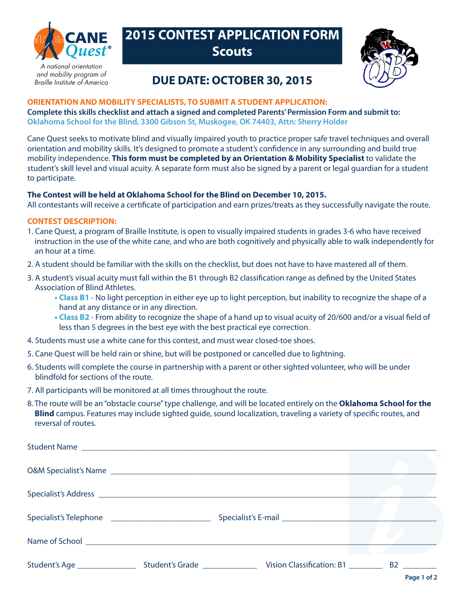

Braille Institute of America

# **2015 CONTEST APPLICATION FORM Scouts**



# **DUE DATE: OCTOBER 30, 2015**

# **ORIENTATION AND MOBILITY SPECIALISTS, TO SUBMIT A STUDENT APPLICATION:**

**Complete this skills checklist and attach a signed and completed Parents' Permission Form and submit to: Oklahoma School for the Blind, 3300 Gibson St, Muskogee, OK 74403, Attn: Sherry Holder**

Cane Quest seeks to motivate blind and visually impaired youth to practice proper safe travel techniques and overall orientation and mobility skills. It's designed to promote a student's confdence in any surrounding and build true mobility independence. **This form must be completed by an Orientation & Mobility Specialist** to validate the student's skill level and visual acuity. A separate form must also be signed by a parent or legal guardian for a student to participate.

## **The Contest will be held at Oklahoma School for the Blind on December 10, 2015.**

All contestants will receive a certifcate of participation and earn prizes/treats as they successfully navigate the route.

## **CONTEST DESCRIPTION:**

- 1. Cane Quest, a program of Braille Institute, is open to visually impaired students in grades 3-6 who have received instruction in the use of the white cane, and who are both cognitively and physically able to walk independently for an hour at a time.
- 2. A student should be familiar with the skills on the checklist, but does not have to have mastered all of them.
- 3. A student's visual acuity must fall within the B1 through B2 classifcation range as defned by the United States Association of Blind Athletes.
	- **Class B1** No light perception in either eye up to light perception, but inability to recognize the shape of a hand at any distance or in any direction.
	- **Class B2** From ability to recognize the shape of a hand up to visual acuity of 20/600 and/or a visual field of less than 5 degrees in the best eye with the best practical eye correction.
- 4. Students must use a white cane for this contest, and must wear closed-toe shoes.
- 5. Cane Quest will be held rain or shine, but will be postponed or cancelled due to lightning.
- 6. Students will complete the course in partnership with a parent or other sighted volunteer, who will be under blindfold for sections of the route.
- 7. All participants will be monitored at all times throughout the route.
- 8. The route will be an "obstacle course" type challenge, and will be located entirely on the **Oklahoma School for the Blind** campus. Features may include sighted guide, sound localization, traveling a variety of specifc routes, and reversal of routes.

| Name of School <b>Example 2018</b> Name of School |  |  |                                                                                                                                                                                                                                                        |
|---------------------------------------------------|--|--|--------------------------------------------------------------------------------------------------------------------------------------------------------------------------------------------------------------------------------------------------------|
|                                                   |  |  | B <sub>2</sub> and the set of the set of the set of the set of the set of the set of the set of the set of the set of the set of the set of the set of the set of the set of the set of the set of the set of the set of the set of the<br>Page 1 of 2 |